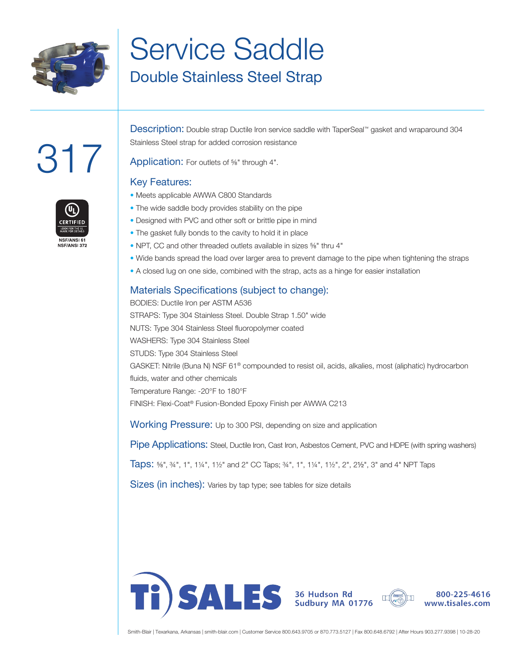

## Service Saddle Double Stainless Steel Strap

# 317



Description: Double strap Ductile Iron service saddle with TaperSeal™ gasket and wraparound 304 Stainless Steel strap for added corrosion resistance

Application: For outlets of <sup>5/8</sup>" through 4".

#### Key Features:

- Meets applicable AWWA C800 Standards
- The wide saddle body provides stability on the pipe
- Designed with PVC and other soft or brittle pipe in mind
- The gasket fully bonds to the cavity to hold it in place
- NPT, CC and other threaded outlets available in sizes ⅝" thru 4"
- Wide bands spread the load over larger area to prevent damage to the pipe when tightening the straps
- A closed lug on one side, combined with the strap, acts as a hinge for easier installation

#### Materials Specifications (subject to change):

BODIES: Ductile Iron per ASTM A536 STRAPS: Type 304 Stainless Steel. Double Strap 1.50" wide NUTS: Type 304 Stainless Steel fluoropolymer coated WASHERS: Type 304 Stainless Steel STUDS: Type 304 Stainless Steel GASKET: Nitrile (Buna N) NSF 61® compounded to resist oil, acids, alkalies, most (aliphatic) hydrocarbon fluids, water and other chemicals Temperature Range: -20°F to 180°F FINISH: Flexi-Coat® Fusion-Bonded Epoxy Finish per AWWA C213

Working Pressure: Up to 300 PSI, depending on size and application

Pipe Applications: Steel, Ductile Iron, Cast Iron, Asbestos Cement, PVC and HDPE (with spring washers)

Taps: ⅝", ¾", 1", 1¼", 1½" and 2" CC Taps; ¾", 1", 1¼", 1½", 2", 2½", 3" and 4" NPT Taps

Sizes (in inches): Varies by tap type; see tables for size details





800-225-4616 www.tisales.com

Smith-Blair | Texarkana, Arkansas | smith-blair.com | Customer Service 800.643.9705 or 870.773.5127 | Fax 800.648.6792 | After Hours 903.277.9398 | 10-28-20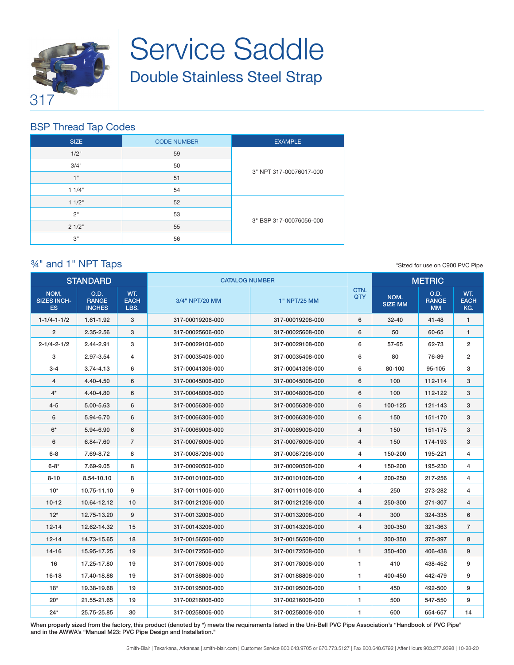

## Service Saddle Double Stainless Steel Strap

#### BSP Thread Tap Codes

| <b>SIZE</b> | <b>CODE NUMBER</b> | <b>EXAMPLE</b>          |
|-------------|--------------------|-------------------------|
| 1/2"        | 59                 |                         |
| 3/4"        | 50                 |                         |
| 1"          | 51                 | 3" NPT 317-00076017-000 |
| 11/4"       | 54                 |                         |
| 11/2"       | 52                 |                         |
| 2"          | 53                 |                         |
| 21/2"       | 55                 | 3" BSP 317-00076056-000 |
| 3"          | 56                 |                         |

#### ¾" and 1" NPT Taps

\*Sized for use on C900 PVC Pipe

| <b>STANDARD</b>                         |                                       | <b>CATALOG NUMBER</b>      |                  |                  | <b>METRIC</b>      |                        |                                   |                           |
|-----------------------------------------|---------------------------------------|----------------------------|------------------|------------------|--------------------|------------------------|-----------------------------------|---------------------------|
| NOM.<br><b>SIZES INCH-</b><br><b>ES</b> | O.D.<br><b>RANGE</b><br><b>INCHES</b> | WT.<br><b>EACH</b><br>LBS. | 3/4" NPT/20 MM   | 1" NPT/25 MM     | CTN.<br><b>QTY</b> | NOM.<br><b>SIZE MM</b> | O.D.<br><b>RANGE</b><br><b>MM</b> | WT.<br><b>EACH</b><br>KG. |
| $1 - 1/4 - 1 - 1/2$                     | $1.61 - 1.92$                         | 3                          | 317-00019206-000 | 317-00019208-000 | 6                  | $32 - 40$              | $41 - 48$                         | $\mathbf{1}$              |
| $\overline{2}$                          | 2.35-2.56                             | 3                          | 317-00025606-000 | 317-00025608-000 | 6                  | 50                     | 60-65                             | $\mathbf{1}$              |
| $2 - 1/4 - 2 - 1/2$                     | 2.44-2.91                             | 3                          | 317-00029106-000 | 317-00029108-000 | 6                  | 57-65                  | 62-73                             | $\overline{2}$            |
| 3                                       | 2.97-3.54                             | 4                          | 317-00035406-000 | 317-00035408-000 | 6                  | 80                     | 76-89                             | $\overline{2}$            |
| $3 - 4$                                 | $3.74 - 4.13$                         | 6                          | 317-00041306-000 | 317-00041308-000 | 6                  | 80-100                 | 95-105                            | 3                         |
| $\overline{4}$                          | 4.40-4.50                             | 6                          | 317-00045006-000 | 317-00045008-000 | 6                  | 100                    | 112-114                           | 3                         |
| $4^*$                                   | 4.40-4.80                             | 6                          | 317-00048006-000 | 317-00048008-000 | 6                  | 100                    | 112-122                           | 3                         |
| $4 - 5$                                 | 5.00-5.63                             | 6                          | 317-00056306-000 | 317-00056308-000 | 6                  | 100-125                | 121-143                           | 3                         |
| 6                                       | 5.94-6.70                             | 6                          | 317-00066306-000 | 317-00066308-000 | 6                  | 150                    | 151-170                           | 3                         |
| $6*$                                    | 5.94-6.90                             | 6                          | 317-00069006-000 | 317-00069008-000 | 4                  | 150                    | 151-175                           | 3                         |
| 6                                       | 6.84-7.60                             | $\overline{7}$             | 317-00076006-000 | 317-00076008-000 | $\overline{4}$     | 150                    | 174-193                           | 3                         |
| $6 - 8$                                 | 7.69-8.72                             | 8                          | 317-00087206-000 | 317-00087208-000 | 4                  | 150-200                | 195-221                           | 4                         |
| $6 - 8*$                                | 7.69-9.05                             | 8                          | 317-00090506-000 | 317-00090508-000 | 4                  | 150-200                | 195-230                           | 4                         |
| $8 - 10$                                | 8.54-10.10                            | 8                          | 317-00101006-000 | 317-00101008-000 | 4                  | 200-250                | 217-256                           | 4                         |
| $10*$                                   | 10.75-11.10                           | 9                          | 317-00111006-000 | 317-00111008-000 | 4                  | 250                    | 273-282                           | 4                         |
| $10 - 12$                               | 10.64-12.12                           | 10                         | 317-00121206-000 | 317-00121208-000 | $\overline{4}$     | 250-300                | 271-307                           | 4                         |
| $12*$                                   | 12.75-13.20                           | 9                          | 317-00132006-000 | 317-00132008-000 | $\overline{4}$     | 300                    | 324-335                           | 6                         |
| $12 - 14$                               | 12.62-14.32                           | 15                         | 317-00143206-000 | 317-00143208-000 | $\overline{4}$     | 300-350                | 321-363                           | $\overline{7}$            |
| $12 - 14$                               | 14.73-15.65                           | 18                         | 317-00156506-000 | 317-00156508-000 | 1                  | 300-350                | 375-397                           | 8                         |
| $14 - 16$                               | 15.95-17.25                           | 19                         | 317-00172506-000 | 317-00172508-000 | 1                  | 350-400                | 406-438                           | 9                         |
| 16                                      | 17.25-17.80                           | 19                         | 317-00178006-000 | 317-00178008-000 | 1                  | 410                    | 438-452                           | 9                         |
| $16 - 18$                               | 17.40-18.88                           | 19                         | 317-00188806-000 | 317-00188808-000 | 1                  | 400-450                | 442-479                           | 9                         |
| $18*$                                   | 19.38-19.68                           | 19                         | 317-00195006-000 | 317-00195008-000 | 1                  | 450                    | 492-500                           | 9                         |
| $20*$                                   | 21.55-21.65                           | 19                         | 317-00216006-000 | 317-00216008-000 | 1                  | 500                    | 547-550                           | 9                         |
| $24*$                                   | 25.75-25.85                           | 30                         | 317-00258006-000 | 317-00258008-000 | 1                  | 600                    | 654-657                           | 14                        |

When properly sized from the factory, this product (denoted by \*) meets the requirements listed in the Uni-Bell PVC Pipe Association's "Handbook of PVC Pipe" and in the AWWA's "Manual M23: PVC Pipe Design and Installation."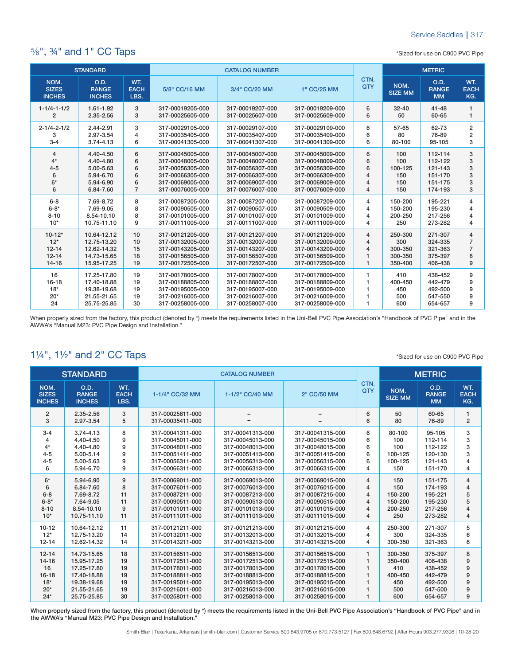#### ⅝", ¾" and 1" CC Taps

\*Sized for use on C900 PVC Pipe

| <b>STANDARD</b>                       |                                       |                            | <b>CATALOG NUMBER</b> |                  |                  |                | <b>METRIC</b>          |                                   |                           |
|---------------------------------------|---------------------------------------|----------------------------|-----------------------|------------------|------------------|----------------|------------------------|-----------------------------------|---------------------------|
| NOM.<br><b>SIZES</b><br><b>INCHES</b> | O.D.<br><b>RANGE</b><br><b>INCHES</b> | WT.<br><b>EACH</b><br>LBS. | 5/8" CC/16 MM         | 3/4" CC/20 MM    | 1" CC/25 MM      | CTN.<br>QTY    | NOM.<br><b>SIZE MM</b> | O.D.<br><b>RANGE</b><br><b>MM</b> | WT.<br><b>EACH</b><br>KG. |
| $1 - 1/4 - 1 - 1/2$                   | 1.61-1.92                             | 3                          | 317-00019205-000      | 317-00019207-000 | 317-00019209-000 | 6              | $32 - 40$              | $41 - 48$                         | $\mathbf{1}$              |
| $\overline{2}$                        | 2.35-2.56                             | 3                          | 317-00025605-000      | 317-00025607-000 | 317-00025609-000 | 6              | 50                     | 60-65                             | 1                         |
| $2 - 1/4 - 2 - 1/2$                   | 2.44-2.91                             | 3                          | 317-00029105-000      | 317-00029107-000 | 317-00029109-000 | 6              | 57-65                  | 62-73                             | $\overline{2}$            |
| 3                                     | 2.97-3.54                             | 4                          | 317-00035405-000      | 317-00035407-000 | 317-00035409-000 | 6              | 80                     | 76-89                             | $\overline{\mathbf{c}}$   |
| $3 - 4$                               | 3.74-4.13                             | 6                          | 317-00041305-000      | 317-00041307-000 | 317-00041309-000 | 6              | 80-100                 | 95-105                            | 3                         |
| 4                                     | 4.40-4.50                             | 6                          | 317-00045005-000      | 317-00045007-000 | 317-00045009-000 | 6              | 100                    | 112-114                           | 3                         |
| $4*$                                  | 4.40-4.80                             | 6                          | 317-00048005-000      | 317-00048007-000 | 317-00048009-000 | 6              | 100                    | 112-122                           | 3                         |
| $4 - 5$                               | 5.00-5.63                             | 6                          | 317-00056305-000      | 317-00056307-000 | 317-00056309-000 | 6              | 100-125                | 121-143                           | 3                         |
| 6                                     | 5.94-6.70                             | 6                          | 317-00066305-000      | 317-00066307-000 | 317-00066309-000 | $\overline{4}$ | 150                    | 151-170                           | 3                         |
| $6*$                                  | 5.94-6.90                             | 6                          | 317-00069005-000      | 317-00069007-000 | 317-00069009-000 | $\overline{4}$ | 150                    | 151-175                           | 3                         |
| 6                                     | 6.84-7.60                             | $\overline{7}$             | 317-00076005-000      | 317-00076007-000 | 317-00076009-000 | $\overline{4}$ | 150                    | 174-193                           | 3                         |
| $6 - 8$                               | 7.69-8.72                             | 8                          | 317-00087205-000      | 317-00087207-000 | 317-00087209-000 | 4              | 150-200                | 195-221                           | 4                         |
| $6 - 8*$                              | 7.69-9.05                             | 8                          | 317-00090505-000      | 317-00090507-000 | 317-00090509-000 | $\overline{4}$ | 150-200                | 195-230                           | 4                         |
| $8 - 10$                              | 8.54-10.10                            | 8                          | 317-00101005-000      | 317-00101007-000 | 317-00101009-000 | $\overline{4}$ | 200-250                | 217-256                           | $\overline{4}$            |
| $10*$                                 | 10.75-11.10                           | 9                          | 317-00111005-000      | 317-00111007-000 | 317-00111009-000 | 4              | 250                    | 273-282                           | $\overline{4}$            |
| $10 - 12*$                            | 10.64-12.12                           | 10                         | 317-00121205-000      | 317-00121207-000 | 317-00121209-000 | $\overline{4}$ | 250-300                | 271-307                           | 4                         |
| $12*$                                 | 12.75-13.20                           | 10                         | 317-00132005-000      | 317-00132007-000 | 317-00132009-000 | $\overline{4}$ | 300                    | 324-335                           | $\overline{7}$            |
| $12 - 14$                             | 12.62-14.32                           | 15                         | 317-00143205-000      | 317-00143207-000 | 317-00143209-000 | $\overline{4}$ | 300-350                | 321-363                           | $\overline{7}$            |
| $12 - 14$                             | 14.73-15.65                           | 18                         | 317-00156505-000      | 317-00156507-000 | 317-00156509-000 | $\mathbf{1}$   | 300-350                | 375-397                           | 8                         |
| $14 - 16$                             | 15.95-17.25                           | 19                         | 317-00172505-000      | 317-00172507-000 | 317-00172509-000 | $\mathbf{1}$   | 350-400                | 406-438                           | 9                         |
| 16                                    | 17.25-17.80                           | 19                         | 317-00178005-000      | 317-00178007-000 | 317-00178009-000 | 1              | 410                    | 438-452                           | 9                         |
| $16 - 18$                             | 17.40-18.88                           | 19                         | 317-00188805-000      | 317-00188807-000 | 317-00188809-000 | 1              | 400-450                | 442-479                           | 9                         |
| $18*$                                 | 19.38-19.68                           | 19                         | 317-00195005-000      | 317-00195007-000 | 317-00195009-000 | 1              | 450                    | 492-500                           | 9                         |
| $20*$                                 | 21.55-21.65                           | 19                         | 317-00216005-000      | 317-00216007-000 | 317-00216009-000 | 1              | 500                    | 547-550                           | 9                         |
| 24                                    | 25.75-25.85                           | 30                         | 317-00258005-000      | 317-00258007-000 | 317-00258009-000 | 1              | 600                    | 654-657                           | 9                         |

When properly sized from the factory, this product (denoted by \*) meets the requirements listed in the Uni-Bell PVC Pipe Association's "Handbook of PVC Pipe" and in the AWWA's "Manual M23: PVC Pipe Design and Installation."

### 1¼", 1½" and 2" CC Taps

|                                       | <b>STANDARD</b>                       |                            | <b>CATALOG NUMBER</b>                |                  |                  |                    |                        | <b>METRIC</b>                     |                           |
|---------------------------------------|---------------------------------------|----------------------------|--------------------------------------|------------------|------------------|--------------------|------------------------|-----------------------------------|---------------------------|
| NOM.<br><b>SIZES</b><br><b>INCHES</b> | O.D.<br><b>RANGE</b><br><b>INCHES</b> | WT.<br><b>EACH</b><br>LBS. | 1-1/4" CC/32 MM                      | 1-1/2" CC/40 MM  | 2" CC/50 MM      | CTN.<br><b>QTY</b> | NOM.<br><b>SIZE MM</b> | O.D.<br><b>RANGE</b><br><b>MM</b> | WT.<br><b>EACH</b><br>KG. |
| $\overline{2}$<br>3                   | 2.35-2.56<br>2.97-3.54                | 3<br>5                     | 317-00025611-000<br>317-00035411-000 |                  |                  | 6<br>6             | 50<br>80               | 60-65<br>76-89                    | 1<br>$\overline{2}$       |
| $3 - 4$                               | $3.74 - 4.13$                         | 8                          | 317-00041311-000                     | 317-00041313-000 | 317-00041315-000 | 6                  | 80-100                 | 95-105                            | 3                         |
| 4                                     | 4.40-4.50                             | 9                          | 317-00045011-000                     | 317-00045013-000 | 317-00045015-000 | 6                  | 100                    | 112-114                           | 3                         |
| $4*$                                  | 4.40-4.80                             | 9                          | 317-00048011-000                     | 317-00048013-000 | 317-00048015-000 | 6                  | 100                    | 112-122                           | 3                         |
| $4 - 5$                               | 5.00-5.14                             | 9                          | 317-00051411-000                     | 317-00051413-000 | 317-00051415-000 | 6                  | 100-125                | 120-130                           | 3                         |
| $4 - 5$                               | 5.00-5.63                             | 9                          | 317-00056311-000                     | 317-00056313-000 | 317-00056315-000 | 6                  | 100-125                | 121-143                           | 4                         |
| 6                                     | 5.94-6.70                             | 9                          | 317-00066311-000                     | 317-00066313-000 | 317-00066315-000 | 4                  | 150                    | 151-170                           | 4                         |
| $6*$                                  | 5.94-6.90                             | 9                          | 317-00069011-000                     | 317-00069013-000 | 317-00069015-000 | 4                  | 150                    | 151-175                           | $\overline{4}$            |
| 6                                     | 6.84-7.60                             | 8                          | 317-00076011-000                     | 317-00076013-000 | 317-00076015-000 | 4                  | 150                    | 174-193                           | $\overline{4}$            |
| $6 - 8$                               | 7.69-8.72                             | 11                         | 317-00087211-000                     | 317-00087213-000 | 317-00087215-000 | 4                  | 150-200                | 195-221                           | 5                         |
| $6 - 8*$                              | 7.64-9.05                             | 11                         | 317-00090511-000                     | 317-00090513-000 | 317-00090515-000 | 4                  | 150-200                | 195-230                           | 5                         |
| $8 - 10$                              | 8.54-10.10                            | 9                          | 317-00101011-000                     | 317-00101013-000 | 317-00101015-000 | 4                  | 200-250                | 217-256                           | $\overline{4}$            |
| $10*$                                 | 10.75-11.10                           | 11                         | 317-00111011-000                     | 317-00111013-000 | 317-00111015-000 | 4                  | 250                    | 273-282                           | $\overline{4}$            |
| $10 - 12$                             | 10.64-12.12                           | 11                         | 317-00121211-000                     | 317-00121213-000 | 317-00121215-000 | 4                  | 250-300                | 271-307                           | 5                         |
| $12*$                                 | 12.75-13.20                           | 14                         | 317-00132011-000                     | 317-00132013-000 | 317-00132015-000 | 4                  | 300                    | 324-335                           | 6                         |
| $12 - 14$                             | 12.62-14.32                           | 14                         | 317-00143211-000                     | 317-00143213-000 | 317-00143215-000 | 4                  | 300-350                | 321-363                           | 6                         |
| $12 - 14$                             | 14.73-15.65                           | 18                         | 317-00156511-000                     | 317-00156513-000 | 317-00156515-000 | 1                  | 300-350                | 375-397                           | 8                         |
| $14 - 16$                             | 15.95-17.25                           | 19                         | 317-00172511-000                     | 317-00172513-000 | 317-00172515-000 | $\mathbf{1}$       | 350-400                | 406-438                           | 9                         |
| 16                                    | 17.25-17.80                           | 19                         | 317-00178011-000                     | 317-00178013-000 | 317-00178015-000 | $\mathbf{1}$       | 410                    | 438-452                           | 9                         |
| $16 - 18$                             | 17.40-18.88                           | 19                         | 317-00188811-000                     | 317-00188813-000 | 317-00188815-000 | $\mathbf{1}$       | 400-450                | 442-479                           | 9                         |
| $18*$                                 | 19.38-19.68                           | 19                         | 317-00195011-000                     | 317-00195013-000 | 317-00195015-000 | 1                  | 450                    | 492-500                           | 9                         |
| $20*$                                 | 21.55-21.65                           | 19                         | 317-00216011-000                     | 317-00216013-000 | 317-00216015-000 | $\mathbf{1}$       | 500                    | 547-500                           | 9                         |
| $24*$                                 | 25.75-25.85                           | 30                         | 317-00258011-000                     | 317-00258013-000 | 317-00258015-000 | $\mathbf{1}$       | 600                    | 654-657                           | 9                         |

When properly sized from the factory, this product (denoted by \*) meets the requirements listed in the Uni-Bell PVC Pipe Association's "Handbook of PVC Pipe" and in the AWWA's "Manual M23: PVC Pipe Design and Installation."

\*Sized for use on C900 PVC Pipe